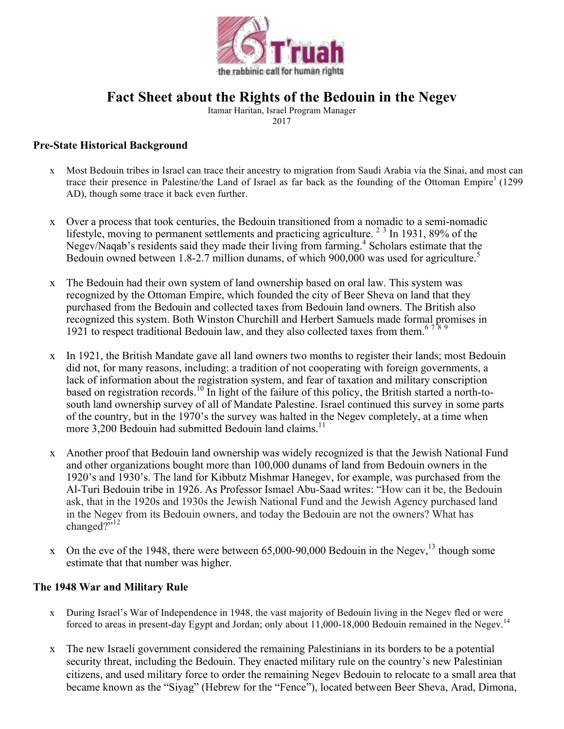

# **Fact Sheet about the Rights of the Bedouin in the Negev**

Itamar Haritan, Israel Program Manager 2017

### **Pre-State Historical Background**

- x Most Bedouin tribes in Israel can trace their ancestry to migration from Saudi Arabia via the Sinai, and most can trace their presence in Palestine/the Land of Israel as far back as the founding of the Ottoman Empire<sup>1</sup> (1299) AD), though some trace it back even further.
- x Over a process that took centuries, the Bedouin transitioned from a nomadic to a semi-nomadic lifestyle, moving to permanent settlements and practicing agriculture.  $2 \times 3$  In 1931, 89% of the Negev/Naqab's residents said they made their living from farming.<sup>4</sup> Scholars estimate that the Bedouin owned between 1.8-2.7 million dunams, of which 900,000 was used for agriculture.<sup>5</sup>
- x The Bedouin had their own system of land ownership based on oral law. This system was recognized by the Ottoman Empire, which founded the city of Beer Sheva on land that they purchased from the Bedouin and collected taxes from Bedouin land owners. The British also recognized this system. Both Winston Churchill and Herbert Samuels made formal promises in 1921 to respect traditional Bedouin law, and they also collected taxes from them.<sup>6789</sup>
- x In 1921, the British Mandate gave all land owners two months to register their lands; most Bedouin did not, for many reasons, including: a tradition of not cooperating with foreign governments, a lack of information about the registration system, and fear of taxation and military conscription based on registration records.<sup>10</sup> In light of the failure of this policy, the British started a north-tosouth land ownership survey of all of Mandate Palestine. Israel continued this survey in some parts of the country, but in the 1970's the survey was halted in the Negev completely, at a time when more 3,200 Bedouin had submitted Bedouin land claims.<sup>11</sup>
- x Another proof that Bedouin land ownership was widely recognized is that the Jewish National Fund and other organizations bought more than 100,000 dunams of land from Bedouin owners in the 1920's and 1930's. The land for Kibbutz Mishmar Hanegev, for example, was purchased from the Al-Turi Bedouin tribe in 1926. As Professor Ismael Abu-Saad writes: "How can it be, the Bedouin ask, that in the 1920s and 1930s the Jewish National Fund and the Jewish Agency purchased land in the Negev from its Bedouin owners, and today the Bedouin are not the owners? What has changed?"<sup>12</sup>
- x On the eve of the 1948, there were between  $65,000$ -90,000 Bedouin in the Negev,  $^{13}$  though some estimate that that number was higher.

#### **The 1948 War and Military Rule**

- x During Israel's War of Independence in 1948, the vast majority of Bedouin living in the Negev fled or were forced to areas in present-day Egypt and Jordan; only about 11,000-18,000 Bedouin remained in the Negev.<sup>14</sup>
- x The new Israeli government considered the remaining Palestinians in its borders to be a potential security threat, including the Bedouin. They enacted military rule on the country's new Palestinian citizens, and used military force to order the remaining Negev Bedouin to relocate to a small area that became known as the "Siyag" (Hebrew for the "Fence"), located between Beer Sheva, Arad, Dimona,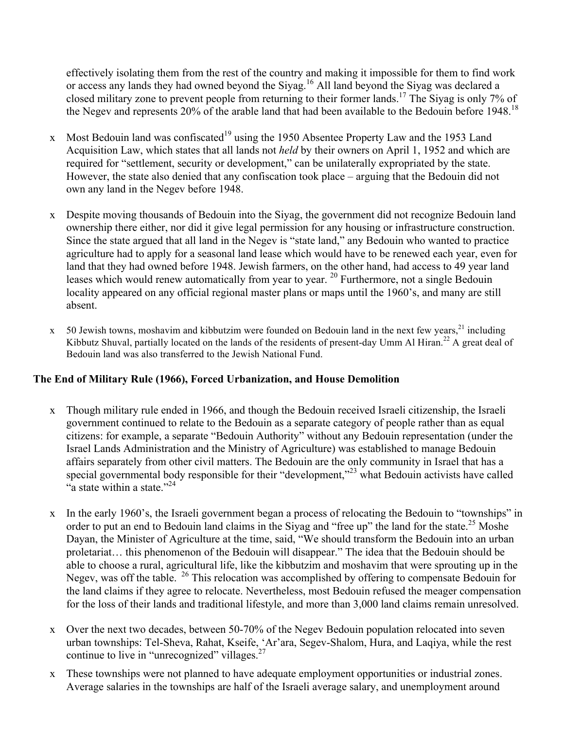effectively isolating them from the rest of the country and making it impossible for them to find work or access any lands they had owned beyond the Siyag. <sup>16</sup> All land beyond the Siyag was declared a closed military zone to prevent people from returning to their former lands.17 The Siyag is only 7% of the Negev and represents 20% of the arable land that had been available to the Bedouin before 1948.<sup>18</sup>

- x Most Bedouin land was confiscated<sup>19</sup> using the 1950 Absentee Property Law and the 1953 Land Acquisition Law, which states that all lands not *held* by their owners on April 1, 1952 and which are required for "settlement, security or development," can be unilaterally expropriated by the state. However, the state also denied that any confiscation took place – arguing that the Bedouin did not own any land in the Negev before 1948.
- x Despite moving thousands of Bedouin into the Siyag, the government did not recognize Bedouin land ownership there either, nor did it give legal permission for any housing or infrastructure construction. Since the state argued that all land in the Negev is "state land," any Bedouin who wanted to practice agriculture had to apply for a seasonal land lease which would have to be renewed each year, even for land that they had owned before 1948. Jewish farmers, on the other hand, had access to 49 year land leases which would renew automatically from year to year. <sup>20</sup> Furthermore, not a single Bedouin locality appeared on any official regional master plans or maps until the 1960's, and many are still absent.
- $x = 50$  Jewish towns, moshavim and kibbutzim were founded on Bedouin land in the next few years,  $21$  including Kibbutz Shuval, partially located on the lands of the residents of present-day Umm Al Hiran.<sup>22</sup> A great deal of Bedouin land was also transferred to the Jewish National Fund.

# **The End of Military Rule (1966), Forced Urbanization, and House Demolition**

- x Though military rule ended in 1966, and though the Bedouin received Israeli citizenship, the Israeli government continued to relate to the Bedouin as a separate category of people rather than as equal citizens: for example, a separate "Bedouin Authority" without any Bedouin representation (under the Israel Lands Administration and the Ministry of Agriculture) was established to manage Bedouin affairs separately from other civil matters. The Bedouin are the only community in Israel that has a special governmental body responsible for their "development,"<sup>23</sup> what Bedouin activists have called "a state within a state." $^{24}$
- x In the early 1960's, the Israeli government began a process of relocating the Bedouin to "townships" in order to put an end to Bedouin land claims in the Siyag and "free up" the land for the state.<sup>25</sup> Moshe Dayan, the Minister of Agriculture at the time, said, "We should transform the Bedouin into an urban proletariat… this phenomenon of the Bedouin will disappear." The idea that the Bedouin should be able to choose a rural, agricultural life, like the kibbutzim and moshavim that were sprouting up in the Negev, was off the table. <sup>26</sup> This relocation was accomplished by offering to compensate Bedouin for the land claims if they agree to relocate. Nevertheless, most Bedouin refused the meager compensation for the loss of their lands and traditional lifestyle, and more than 3,000 land claims remain unresolved.
- x Over the next two decades, between 50-70% of the Negev Bedouin population relocated into seven urban townships: Tel-Sheva, Rahat, Kseife, 'Ar'ara, Segev-Shalom, Hura, and Laqiya, while the rest continue to live in "unrecognized" villages.<sup>27</sup>
- x These townships were not planned to have adequate employment opportunities or industrial zones. Average salaries in the townships are half of the Israeli average salary, and unemployment around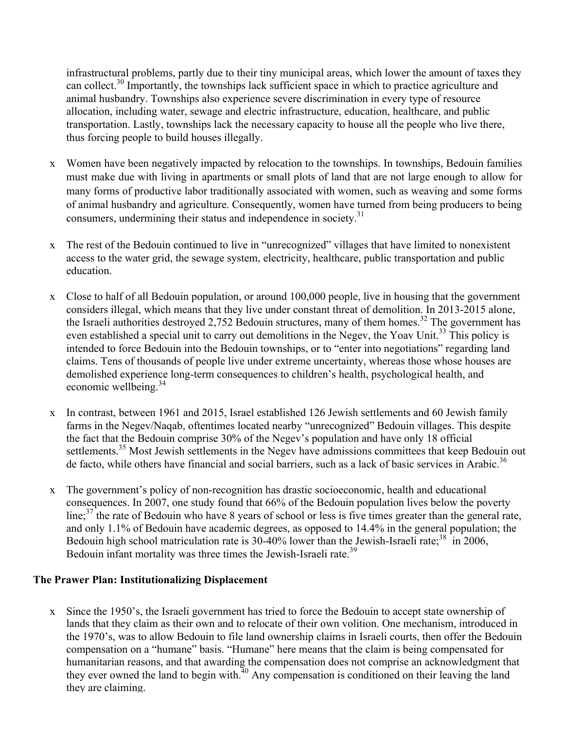infrastructural problems, partly due to their tiny municipal areas, which lower the amount of taxes they can collect.<sup>30</sup> Importantly, the townships lack sufficient space in which to practice agriculture and animal husbandry. Townships also experience severe discrimination in every type of resource allocation, including water, sewage and electric infrastructure, education, healthcare, and public transportation. Lastly, townships lack the necessary capacity to house all the people who live there, thus forcing people to build houses illegally.

- x Women have been negatively impacted by relocation to the townships. In townships, Bedouin families must make due with living in apartments or small plots of land that are not large enough to allow for many forms of productive labor traditionally associated with women, such as weaving and some forms of animal husbandry and agriculture. Consequently, women have turned from being producers to being consumers, undermining their status and independence in society.<sup>31</sup>
- x The rest of the Bedouin continued to live in "unrecognized" villages that have limited to nonexistent access to the water grid, the sewage system, electricity, healthcare, public transportation and public education.
- x Close to half of all Bedouin population, or around 100,000 people, live in housing that the government considers illegal, which means that they live under constant threat of demolition. In 2013-2015 alone, the Israeli authorities destroyed 2,752 Bedouin structures, many of them homes.<sup>32</sup> The government has even established a special unit to carry out demolitions in the Negev, the Yoav Unit.<sup>33</sup> This policy is intended to force Bedouin into the Bedouin townships, or to "enter into negotiations" regarding land claims. Tens of thousands of people live under extreme uncertainty, whereas those whose houses are demolished experience long-term consequences to children's health, psychological health, and economic wellbeing.<sup>34</sup>
- x In contrast, between 1961 and 2015, Israel established 126 Jewish settlements and 60 Jewish family farms in the Negev/Naqab, oftentimes located nearby "unrecognized" Bedouin villages. This despite the fact that the Bedouin comprise 30% of the Negev's population and have only 18 official settlements.<sup>35</sup> Most Jewish settlements in the Negev have admissions committees that keep Bedouin out de facto, while others have financial and social barriers, such as a lack of basic services in Arabic.<sup>36</sup>
- x The government's policy of non-recognition has drastic socioeconomic, health and educational consequences. In 2007, one study found that 66% of the Bedouin population lives below the poverty line;  $37$  the rate of Bedouin who have 8 years of school or less is five times greater than the general rate, and only 1.1% of Bedouin have academic degrees, as opposed to 14.4% in the general population; the Bedouin high school matriculation rate is  $30-40\%$  lower than the Jewish-Israeli rate;<sup>38</sup> in 2006, Bedouin infant mortality was three times the Jewish-Israeli rate.<sup>39</sup>

# **The Prawer Plan: Institutionalizing Displacement**

x Since the 1950's, the Israeli government has tried to force the Bedouin to accept state ownership of lands that they claim as their own and to relocate of their own volition. One mechanism, introduced in the 1970's, was to allow Bedouin to file land ownership claims in Israeli courts, then offer the Bedouin compensation on a "humane" basis. "Humane" here means that the claim is being compensated for humanitarian reasons, and that awarding the compensation does not comprise an acknowledgment that they ever owned the land to begin with.<sup> $10$ </sup> Any compensation is conditioned on their leaving the land they are claiming.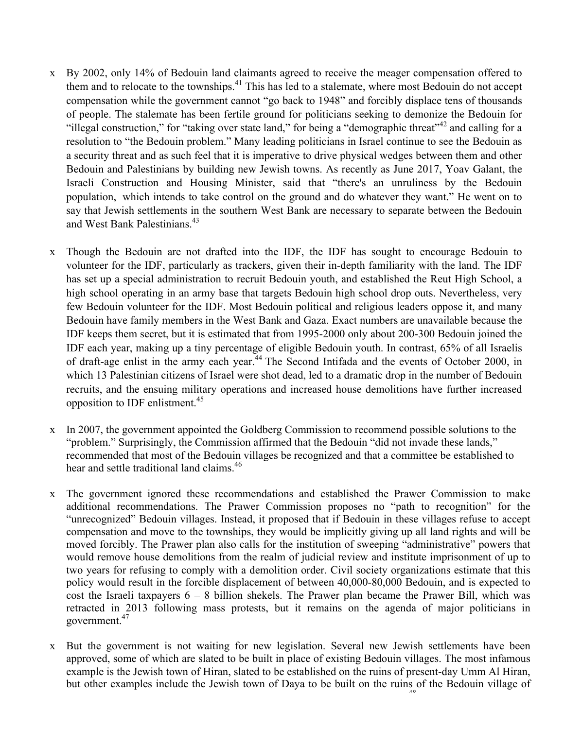- x By 2002, only 14% of Bedouin land claimants agreed to receive the meager compensation offered to them and to relocate to the townships.<sup>41</sup> This has led to a stalemate, where most Bedouin do not accept compensation while the government cannot "go back to 1948" and forcibly displace tens of thousands of people. The stalemate has been fertile ground for politicians seeking to demonize the Bedouin for "illegal construction," for "taking over state land," for being a "demographic threat"<sup>42</sup> and calling for a resolution to "the Bedouin problem." Many leading politicians in Israel continue to see the Bedouin as a security threat and as such feel that it is imperative to drive physical wedges between them and other Bedouin and Palestinians by building new Jewish towns. As recently as June 2017, Yoav Galant, the Israeli Construction and Housing Minister, said that "there's an unruliness by the Bedouin population, which intends to take control on the ground and do whatever they want." He went on to say that Jewish settlements in the southern West Bank are necessary to separate between the Bedouin and West Bank Palestinians.<sup>43</sup>
- x Though the Bedouin are not drafted into the IDF, the IDF has sought to encourage Bedouin to volunteer for the IDF, particularly as trackers, given their in-depth familiarity with the land. The IDF has set up a special administration to recruit Bedouin youth, and established the Reut High School, a high school operating in an army base that targets Bedouin high school drop outs. Nevertheless, very few Bedouin volunteer for the IDF. Most Bedouin political and religious leaders oppose it, and many Bedouin have family members in the West Bank and Gaza. Exact numbers are unavailable because the IDF keeps them secret, but it is estimated that from 1995-2000 only about 200-300 Bedouin joined the IDF each year, making up a tiny percentage of eligible Bedouin youth. In contrast, 65% of all Israelis of draft-age enlist in the army each year.44 The Second Intifada and the events of October 2000, in which 13 Palestinian citizens of Israel were shot dead, led to a dramatic drop in the number of Bedouin recruits, and the ensuing military operations and increased house demolitions have further increased opposition to IDF enlistment.<sup>45</sup>
- x In 2007, the government appointed the Goldberg Commission to recommend possible solutions to the "problem." Surprisingly, the Commission affirmed that the Bedouin "did not invade these lands," recommended that most of the Bedouin villages be recognized and that a committee be established to hear and settle traditional land claims.<sup>46</sup>
- x The government ignored these recommendations and established the Prawer Commission to make additional recommendations. The Prawer Commission proposes no "path to recognition" for the "unrecognized" Bedouin villages. Instead, it proposed that if Bedouin in these villages refuse to accept compensation and move to the townships, they would be implicitly giving up all land rights and will be moved forcibly. The Prawer plan also calls for the institution of sweeping "administrative" powers that would remove house demolitions from the realm of judicial review and institute imprisonment of up to two years for refusing to comply with a demolition order. Civil society organizations estimate that this policy would result in the forcible displacement of between 40,000-80,000 Bedouin, and is expected to cost the Israeli taxpayers  $6 - 8$  billion shekels. The Prawer plan became the Prawer Bill, which was retracted in 2013 following mass protests, but it remains on the agenda of major politicians in government. 47
- x But the government is not waiting for new legislation. Several new Jewish settlements have been approved, some of which are slated to be built in place of existing Bedouin villages. The most infamous example is the Jewish town of Hiran, slated to be established on the ruins of present-day Umm Al Hiran, but other examples include the Jewish town of Daya to be built on the ruins of the Bedouin village of Katamat, and Neve Gurion, slated to be built on part of the land of Bir Hadaj.<sup>48</sup>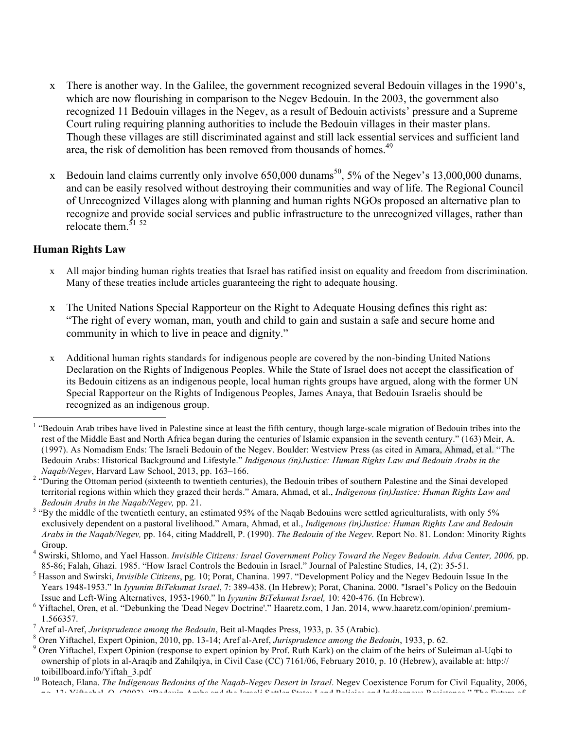- x There is another way. In the Galilee, the government recognized several Bedouin villages in the 1990's, which are now flourishing in comparison to the Negev Bedouin. In the 2003, the government also recognized 11 Bedouin villages in the Negev, as a result of Bedouin activists' pressure and a Supreme Court ruling requiring planning authorities to include the Bedouin villages in their master plans. Though these villages are still discriminated against and still lack essential services and sufficient land area, the risk of demolition has been removed from thousands of homes.<sup>49</sup>
- x Bedouin land claims currently only involve  $650,000$  dunams<sup>50</sup>, 5% of the Negev's 13,000,000 dunams, and can be easily resolved without destroying their communities and way of life. The Regional Council of Unrecognized Villages along with planning and human rights NGOs proposed an alternative plan to recognize and provide social services and public infrastructure to the unrecognized villages, rather than relocate them. $51 52$

### **Human Rights Law**

- x All major binding human rights treaties that Israel has ratified insist on equality and freedom from discrimination. Many of these treaties include articles guaranteeing the right to adequate housing.
- x The United Nations Special Rapporteur on the Right to Adequate Housing defines this right as: "The right of every woman, man, youth and child to gain and sustain a safe and secure home and community in which to live in peace and dignity."
- x Additional human rights standards for indigenous people are covered by the non-binding United Nations Declaration on the Rights of Indigenous Peoples. While the State of Israel does not accept the classification of its Bedouin citizens as an indigenous people, local human rights groups have argued, along with the former UN Special Rapporteur on the Rights of Indigenous Peoples, James Anaya, that Bedouin Israelis should be recognized as an indigenous group.

<sup>&</sup>lt;sup>1</sup> "Bedouin Arab tribes have lived in Palestine since at least the fifth century, though large-scale migration of Bedouin tribes into the rest of the Middle East and North Africa began during the centuries of Islamic expansion in the seventh century." (163) Meir, A. (1997). As Nomadism Ends: The Israeli Bedouin of the Negev. Boulder: Westview Press (as cited in Amara, Ahmad, et al. "The Bedouin Arabs: Historical Background and Lifestyle." *Indigenous (in)Justice: Human Rights Law and Bedouin Arabs in the* 

*Naqab/Negev*, Harvard Law School, 2013, pp. 163–166. <sup>2</sup> "During the Ottoman period (sixteenth to twentieth centuries), the Bedouin tribes of southern Palestine and the Sinai developed territorial regions within which they grazed their herds." Amara, Ahmad, et al., *Indigenous (in)Justice: Human Rights Law and* 

*Bedouin Arabs in the Naqab/Negev, pp.* 21. *3* "By the middle of the twentieth century, an estimated 95% of the Naqab Bedouins were settled agriculturalists, with only 5% exclusively dependent on a pastoral livelihood." Amara, Ahmad, et al., *Indigenous (in)Justice: Human Rights Law and Bedouin Arabs in the Naqab/Negev,* pp. 164, citing Maddrell, P. (1990). *The Bedouin of the Negev*. Report No. 81. London: Minority Rights Group. 4 Swirski, Shlomo, and Yael Hasson. *Invisible Citizens: Israel Government Policy Toward the Negev Bedouin. Adva Center, 2006,* pp.

<sup>85-86;</sup> Falah, Ghazi. 1985. "How Israel Controls the Bedouin in Israel." Journal of Palestine Studies, 14, (2): 35-51.<br><sup>5</sup> Hasson and Swirski, *Invisible Citizens*, pg. 10; Porat, Chanina. 1997. "Development Policy and the Years 1948-1953." In *Iyyunim BiTekumat Israel*, 7: 389-438. (In Hebrew); Porat, Chanina. 2000. "Israel's Policy on the Bedouin Issue and Left-Wing Alternatives, 1953-1960." In *Iyyunim BiTekumat Israel*, 10: 420-476. (In

<sup>&</sup>lt;sup>6</sup> Yiftachel, Oren, et al. "Debunking the 'Dead Negev Doctrine'." Haaretz.com, 1 Jan. 2014, www.haaretz.com/opinion/.premium-

<sup>1.566357.&</sup>lt;br>
<sup>7</sup> Aref al-Aref, *Jurisprudence among the Bedouin*, Beit al-Maqdes Press, 1933, p. 35 (Arabic).<br>
<sup>8</sup> Oren Yiftachel, Expert Opinion, 2010, pp. 13-14; Aref al-Aref, *Jurisprudence among the Bedouin*, 1933, p. 6 ownership of plots in al-Araqib and Zahilqiya, in Civil Case (CC) 7161/06, February 2010, p. 10 (Hebrew), available at: http:// toibillboard.info/Yiftah\_3.pdf<br><sup>10</sup> Boteach, Elana. *The Indigenous Bedouins of the Naqab-Negev Desert in Israel*. Negev Coexistence Forum for Civil Equality, 2006,

pg. 13; Yiftachel, O. (2003). "Bedouin Arabs and the Israeli Settler State: Land Policies and Indigenous Resistance." The Future of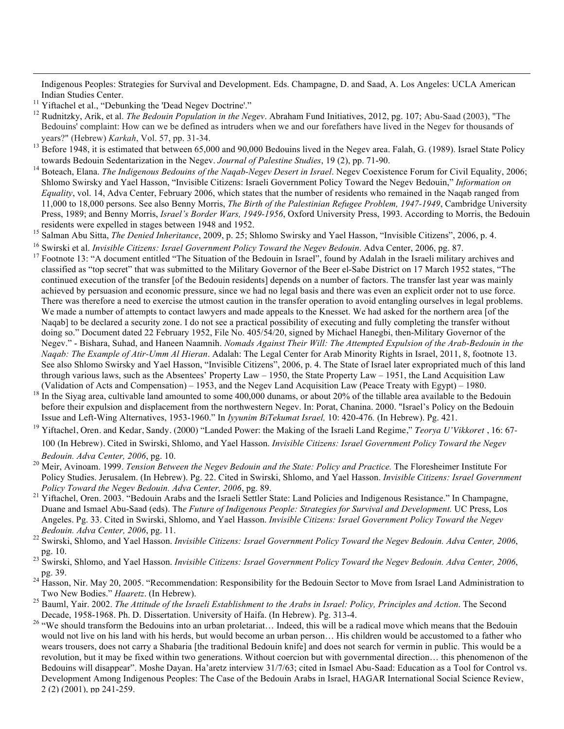Indigenous Peoples: Strategies for Survival and Development. Eds. Champagne, D. and Saad, A. Los Angeles: UCLA American Indian Studies Center.<br><sup>11</sup> Yiftachel et al., "Debunking the 'Dead Negev Doctrine'."<br><sup>12</sup> Rudnitzky, Arik, et al. *The Bedouin Population in the Negev*. Abraham Fund Initiatives, 2012, pg. 107; Abu-Saad (2003), "The

- Bedouins' complaint: How can we be defined as intruders when we and our forefathers have lived in the Negev for thousands of
- years?" (Hebrew) *Karkah*, Vol. 57, pp. 31-34.<br><sup>13</sup> Before 1948, it is estimated that between 65,000 and 90,000 Bedouins lived in the Negev area. Falah, G. (1989). Israel State Policy towards Bedouin Sedentarization in the Negev. *Journal of Palestine Studies*, 19 (2), pp. 71-90.
- <sup>14</sup> Boteach, Elana. *The Indigenous Bedouins of the Naqab-Negev Desert in Israel*. Negev Coexistence Forum for Civil Equality, 2006; Shlomo Swirsky and Yael Hasson, "Invisible Citizens: Israeli Government Policy Toward the Negev Bedouin," *Information on Equality*, vol. 14, Adva Center, February 2006, which states that the number of residents who remained in the Naqab ranged from 11,000 to 18,000 persons. See also Benny Morris, *The Birth of the Palestinian Refugee Problem, 1947-1949*, Cambridge University Press, 1989; and Benny Morris, *Israel's Border Wars, 1949-1956*, Oxford University Press, 1993. According to Morris, the Bedouin
- 
- 
- residents were expelled in stages between 1948 and 1952.<br><sup>15</sup> Salman Abu Sitta, *The Denied Inheritance*, 2009, p. 25; Shlomo Swirsky and Yael Hasson, "Invisible Citizens", 2006, p. 4.<br><sup>16</sup> Swirski et al. *Invisible Citize* classified as "top secret" that was submitted to the Military Governor of the Beer el-Sabe District on 17 March 1952 states, "The continued execution of the transfer [of the Bedouin residents] depends on a number of factors. The transfer last year was mainly achieved by persuasion and economic pressure, since we had no legal basis and there was even an explicit order not to use force. There was therefore a need to exercise the utmost caution in the transfer operation to avoid entangling ourselves in legal problems. We made a number of attempts to contact lawyers and made appeals to the Knesset. We had asked for the northern area [of the Naqab] to be declared a security zone. I do not see a practical possibility of executing and fully completing the transfer without doing so." Document dated 22 February 1952, File No. 405/54/20, signed by Michael Hanegbi, then-Military Governor of the Negev." - Bishara, Suhad, and Haneen Naamnih. *Nomads Against Their Will: The Attempted Expulsion of the Arab-Bedouin in the Naqab: The Example of Atir-Umm Al Hieran*. Adalah: The Legal Center for Arab Minority Rights in Israel, 2011, 8, footnote 13. See also Shlomo Swirsky and Yael Hasson, "Invisible Citizens", 2006, p. 4. The State of Israel later expropriated much of this land through various laws, such as the Absentees' Property Law – 1950, the State Property Law – 1951, the Land Acquisition Law (Validation of Acts and Compensation) – 1953, and the Negev Land Acquisition Law (Peace Treaty with
- <sup>18</sup> In the Siyag area, cultivable land amounted to some 400,000 dunams, or about 20% of the tillable area available to the Bedouin before their expulsion and displacement from the northwestern Negev. In: Porat, Chanina. 2000. "Israel's Policy on the Bedouin Issue and Left-Wing Alternatives, 1953-1960." In *Iyyunim BiTekumat Israel*, 10: 420-476. (In H
- <sup>19</sup> Yiftachel, Oren. and Kedar, Sandy. (2000) "Landed Power: the Making of the Israeli Land Regime," Teorya U'Vikkoret, 16: 67-100 (In Hebrew). Cited in Swirski, Shlomo, and Yael Hasson. *Invisible Citizens: Israel Government Policy Toward the Negev*
- *Bedouin. Adva Center, 2006*, pg. 10. <sup>20</sup> Meir, Avinoam. 1999. *Tension Between the Negev Bedouin and the State: Policy and Practice.* The Floresheimer Institute For Policy Studies. Jerusalem. (In Hebrew). Pg. 22. Cited in Swirski, Shlomo, and Yael Hasson. *Invisible Citizens: Israel Government*
- <sup>21</sup> Yiftachel, Oren. 2003. "Bedouin Arabs and the Israeli Settler State: Land Policies and Indigenous Resistance." In Champagne, Duane and Ismael Abu-Saad (eds). Th*e Future of Indigenous People: Strategies for Survival and Development.* UC Press, Los Angeles. Pg. 33. Cited in Swirski, Shlomo, and Yael Hasson. *Invisible Citizens: Israel Government Policy Toward the Negev*
- *Bedouin. Adva Center, 2006, pg. 11.*<br><sup>22</sup> Swirski, Shlomo, and Yael Hasson. *Invisible Citizens: Israel Government Policy Toward the Negev Bedouin. Adva Center, 2006,*<br>pg. 10.
- pg. 10. <sup>23</sup> Swirski, Shlomo, and Yael Hasson. *Invisible Citizens: Israel Government Policy Toward the Negev Bedouin. Adva Center, 2006*,
- pg. 39.<br><sup>24</sup> Hasson, Nir. May 20, 2005. "Recommendation: Responsibility for the Bedouin Sector to Move from Israel Land Administration to<br>Two New Bodies." *Haaretz*. (In Hebrew).
- <sup>25</sup> Bauml, Yair. 2002. *The Attitude of the Israeli Establishment to the Arabs in Israel: Policy, Principles and Action*. The Second
- Decade, 1958-1968. Ph. D. Dissertation. University of Haifa. (In Hebrew). Pg. 313-4. <sup>26</sup> "We should transform the Bedouins into an urban proletariat… Indeed, this will be a radical move which means that the Bedouin would not live on his land with his herds, but would become an urban person… His children would be accustomed to a father who wears trousers, does not carry a Shabaria [the traditional Bedouin knife] and does not search for vermin in public. This would be a revolution, but it may be fixed within two generations. Without coercion but with governmental direction… this phenomenon of the Bedouins will disappear". Moshe Dayan. Ha'aretz interview 31/7/63; cited in Ismael Abu-Saad: Education as a Tool for Control vs. Development Among Indigenous Peoples: The Case of the Bedouin Arabs in Israel, HAGAR International Social Science Review, 2 (2) (2001), pp 241-259.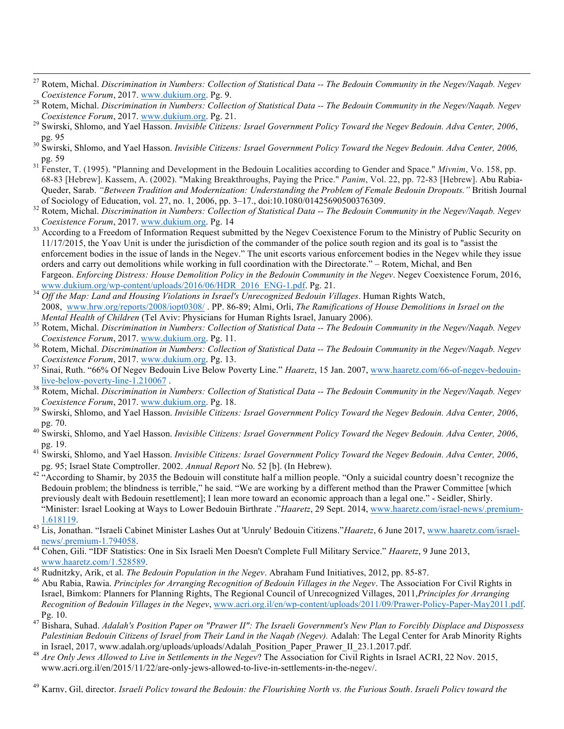- 27 Rotem, Michal. *Discrimination in Numbers: Collection of Statistical Data -- The Bedouin Community in the Negev/Naqab. Negev*
- *Coexistence Forum*, 2017. www.dukium.org. Pg. 9. <sup>28</sup> Rotem, Michal. *Discrimination in Numbers: Collection of Statistical Data -- The Bedouin Community in the Negev/Naqab. Negev*
- *Coexistence Forum*, 2017. www.dukium.org. Pg. 21. <sup>29</sup> Swirski, Shlomo, and Yael Hasson. *Invisible Citizens: Israel Government Policy Toward the Negev Bedouin. Adva Center, 2006*,
- pg. 95 <sup>30</sup> Swirski, Shlomo, and Yael Hasson. *Invisible Citizens: Israel Government Policy Toward the Negev Bedouin. Adva Center, 2006,* pg. <sup>59</sup> <sup>31</sup> Fenster, T. (1995). "Planning and Development in the Bedouin Localities according to Gender and Space." *Mivnim*, Vo. 158, pp.
- 68-83 [Hebrew]. Kassem, A. (2002). "Making Breakthroughs, Paying the Price." *Panim*, Vol. 22, pp. 72-83 [Hebrew]. Abu Rabia-Queder, Sarab. *"Between Tradition and Modernization: Understanding the Problem of Female Bedouin Dropouts."* British Journal
- of Sociology of Education, vol. 27, no. 1, 2006, pp. 3–17., doi:10.1080/01425690500376309.<br>Rotem, Michal. Discrimination in Numbers: Collection of Statistical Data -- The Bedouin Community in the Negev/Nagab. Negev
- *Coexistence Forum*, 2017. www.dukium.org. Pg. 14<br><sup>33</sup> According to a Freedom of Information Request submitted by the Negev Coexistence Forum to the Ministry of Public Security on 11/17/2015, the Yoav Unit is under the jurisdiction of the commander of the police south region and its goal is to "assist the enforcement bodies in the issue of lands in the Negev." The unit escorts various enforcement bodies in the Negev while they issue orders and carry out demolitions while working in full coordination with the Directorate." – Rotem, Michal, and Ben Fargeon. *Enforcing Distress: House Demolition Policy in the Bedouin Community in the Negev*. Negev Coexistence Forum, 2016, www.dukium.org/wp-content/uploads/2016/06/HDR 2016 ENG-1.pdf. Pg. 21.
- where the Map: Land and Housing Violations in Israel's Unrecognized Bedouin Villages. Human Rights Watch, 2008, www.hrw.org/reports/2008/iopt0308/ . PP. 86-89; Almi, Orli, *The Ramifications of House Demolitions in Israel on the*
- Rotem, Michal. Discrimination in Numbers: Collection of Statistical Data -- The Bedouin Community in the Negev/Nagab. Negev
- *Coexistence Forum*, 2017. www.dukium.org. Pg. 11.<br><sup>36</sup> Rotem, Michal. *Discrimination in Numbers: Collection of Statistical Data -- The Bedouin Community in the Negev/Naqab. Negev <br>Coexistence Forum, 2017. www.dukium.org.*
- <sup>37</sup> Sinai, Ruth. "66% Of Negev Bedouin Live Below Poverty Line." *Haaretz*, 15 Jan. 2007, www.haaretz.com/66-of-negev-bedouin-<br>live-below-poverty-line-1.210067.
- <sup>38</sup> Rotem, Michal. *Discrimination in Numbers: Collection of Statistical Data -- The Bedouin Community in the Negev/Naqab. Negev*
- *Coexistence Forum*, 2017. www.dukium.org. Pg. 18.<br><sup>39</sup> Swirski, Shlomo, and Yael Hasson. *Invisible Citizens: Israel Government Policy Toward the Negev Bedouin. Adva Center, 2006*, pg. 70.
- <sup>40</sup> Swirski, Shlomo, and Yael Hasson. *Invisible Citizens: Israel Government Policy Toward the Negev Bedouin. Adva Center, 2006*,
- pg. 19. <sup>41</sup> Swirski, Shlomo, and Yael Hasson. *Invisible Citizens: Israel Government Policy Toward the Negev Bedouin. Adva Center, 2006*, pg. 95; Israel State Comptroller. 2002. *Annual Report* No. 52 [b]. (In Hebrew).
- <sup>42</sup> "According to Shamir, by 2035 the Bedouin will constitute half a million people. "Only a suicidal country doesn't recognize the Bedouin problem; the blindness is terrible," he said. "We are working by a different method than the Prawer Committee [which previously dealt with Bedouin resettlement]; I lean more toward an economic approach than a legal one." - Seidler, Shirly. "Minister: Israel Looking at Ways to Lower Bedouin Birthrate ."*Haaretz*, 29 Sept. 2014, www.haaretz.com/israel-news/.premium-
- 43 Lis, Jonathan. "Israeli Cabinet Minister Lashes Out at 'Unruly' Bedouin Citizens."*Haaretz*, 6 June 2017, www.haaretz.com/israel-<br>news/.premium-1.794058.
- <sup>44</sup> Cohen, Gili. "IDF Statistics: One in Six Israeli Men Doesn't Complete Full Military Service." *Haaretz*, 9 June 2013, www.haaretz.com/1.528589.<br><sup>45</sup> Rudnitzky, Arik, et al. *The Bedouin Population in the Negev*. Abraham Fund Initiatives, 2012, pp. 85-87.<br><sup>46</sup> Abu Rabia, Rawia. *Principles for Arranging Recognition of Bedouin Villages in t*
- 
- Israel, Bimkom: Planners for Planning Rights, The Regional Council of Unrecognized Villages, 2011,*Principles for Arranging Recognition of Bedouin Villages in the Negev*, www.acri.org.il/en/wp-content/uploads/2011/09/Prawer-Policy-Paper-May2011.pdf.
- Pg. 10. <sup>47</sup> Bishara, Suhad. *Adalah's Position Paper on "Prawer II": The Israeli Government's New Plan to Forcibly Displace and Dispossess Palestinian Bedouin Citizens of Israel from Their Land in the Naqab (Negev).* Adalah: The Legal Center for Arab Minority Rights
- in Israel, 2017, www.adalah.org/uploads/uploads/Adalah\_Position\_Paper\_Prawer\_II\_23.1.2017.pdf.<br>Are Only Jews Allowed to Live in Settlements in the Negev? The Association for Civil Rights in Israel ACRI, 22 Nov. 2015, www.acri.org.il/en/2015/11/22/are-only-jews-allowed-to-live-in-settlements-in-the-negev/.
- <sup>49</sup> Karny, Gil, director. *Israeli Policy toward the Bedouin: the Flourishing North vs. the Furious South*. *Israeli Policy toward the*